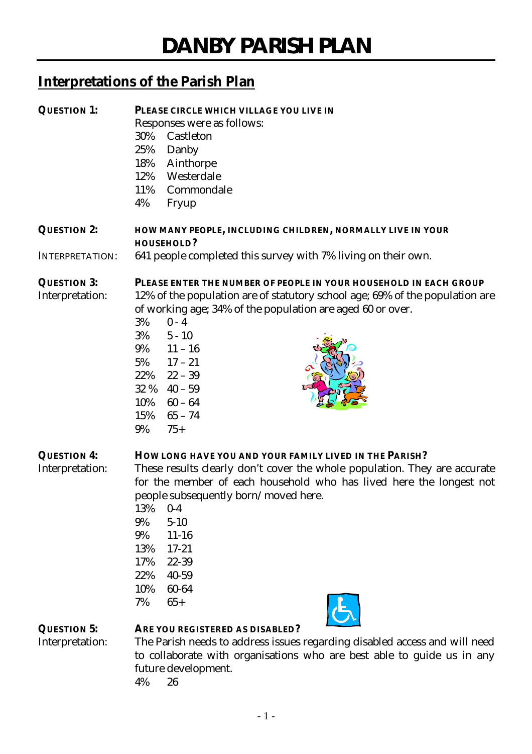# **Interpretations of the Parish Plan**

| <b>QUESTION 1:</b>                    | PLEASE CIRCLE WHICH VILLAGE YOU LIVE IN<br>Responses were as follows:<br>30%<br>Castleton<br>25%<br>Danby<br>18%<br>Ainthorpe<br>Westerdale<br>12%<br>11%<br>Commondale<br>4%<br>Fryup                                                                                                                                                                                                     |
|---------------------------------------|--------------------------------------------------------------------------------------------------------------------------------------------------------------------------------------------------------------------------------------------------------------------------------------------------------------------------------------------------------------------------------------------|
| <b>QUESTION 2:</b>                    | HOW MANY PEOPLE, INCLUDING CHILDREN, NORMALLY LIVE IN YOUR<br><b>HOUSEHOLD?</b>                                                                                                                                                                                                                                                                                                            |
| <b>INTERPRETATION:</b>                | 641 people completed this survey with 7% living on their own.                                                                                                                                                                                                                                                                                                                              |
| <b>QUESTION 3:</b><br>Interpretation: | PLEASE ENTER THE NUMBER OF PEOPLE IN YOUR HOUSEHOLD IN EACH GROUP<br>12% of the population are of statutory school age; 69% of the population are<br>of working age; 34% of the population are aged 60 or over.<br>$0 - 4$<br>3%<br>3%<br>$5 - 10$<br>$9\%$ 11 - 16<br>$5\%$ $17 - 21$<br>$22\%$ $22-39$<br>$32 \%$ 40 - 59<br>10%<br>$60-64$<br>$65 - 74$<br>15%<br>9%<br>$75+$           |
| <b>QUESTION 4:</b><br>Interpretation: | HOW LONG HAVE YOU AND YOUR FAMILY LIVED IN THE PARISH?<br>These results clearly don't cover the whole population. They are accurate<br>for the member of each household who has lived here the longest not<br>people subsequently born/moved here.<br>13%<br>$0-4$<br>9%<br>$5 - 10$<br>9%<br>$11 - 16$<br>13%<br>$17 - 21$<br>17%<br>22-39<br>22%<br>40-59<br>10%<br>60-64<br>7%<br>$65+$ |
| <b>QUESTION 5:</b><br>Interpretation: | ARE YOU REGISTERED AS DISABLED?<br>The Parish needs to address issues regarding disabled access and will need<br>to collaborate with organisations who are best able to guide us in any<br>future development.<br>4%<br>26                                                                                                                                                                 |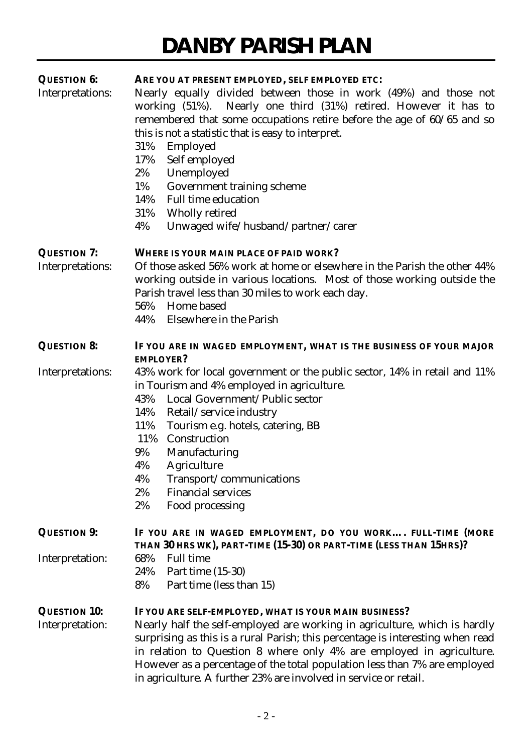| <b>QUESTION 6:</b>  | ARE YOU AT PRESENT EMPLOYED, SELF EMPLOYED ETC:                                |  |  |  |  |  |
|---------------------|--------------------------------------------------------------------------------|--|--|--|--|--|
| Interpretations:    | Nearly equally divided between those in work (49%) and those not               |  |  |  |  |  |
|                     | working (51%). Nearly one third (31%) retired. However it has to               |  |  |  |  |  |
|                     | remembered that some occupations retire before the age of $60/65$ and so       |  |  |  |  |  |
|                     | this is not a statistic that is easy to interpret.                             |  |  |  |  |  |
|                     | 31%<br>Employed                                                                |  |  |  |  |  |
|                     | 17%<br>Self employed                                                           |  |  |  |  |  |
|                     | Unemployed<br>$2\%$                                                            |  |  |  |  |  |
|                     | 1%<br>Government training scheme                                               |  |  |  |  |  |
|                     | <b>Full time education</b><br>14%                                              |  |  |  |  |  |
|                     | 31%<br>Wholly retired                                                          |  |  |  |  |  |
|                     | Unwaged wife/husband/partner/carer<br>4%                                       |  |  |  |  |  |
| <b>QUESTION 7:</b>  | <b>WHERE IS YOUR MAIN PLACE OF PAID WORK?</b>                                  |  |  |  |  |  |
|                     |                                                                                |  |  |  |  |  |
| Interpretations:    | Of those asked 56% work at home or elsewhere in the Parish the other 44%       |  |  |  |  |  |
|                     | working outside in various locations. Most of those working outside the        |  |  |  |  |  |
|                     | Parish travel less than 30 miles to work each day.                             |  |  |  |  |  |
|                     | Home based<br>56%                                                              |  |  |  |  |  |
|                     | 44%<br>Elsewhere in the Parish                                                 |  |  |  |  |  |
| <b>QUESTION 8:</b>  | IF YOU ARE IN WAGED EMPLOYMENT, WHAT IS THE BUSINESS OF YOUR MAJOR             |  |  |  |  |  |
|                     | <b>EMPLOYER?</b>                                                               |  |  |  |  |  |
| Interpretations:    | 43% work for local government or the public sector, 14% in retail and 11%      |  |  |  |  |  |
|                     | in Tourism and 4% employed in agriculture.                                     |  |  |  |  |  |
|                     | Local Government/Public sector<br>43%                                          |  |  |  |  |  |
|                     | 14%<br>Retail/service industry                                                 |  |  |  |  |  |
|                     | 11%<br>Tourism e.g. hotels, catering, BB                                       |  |  |  |  |  |
|                     | 11%<br>Construction                                                            |  |  |  |  |  |
|                     | 9%<br>Manufacturing                                                            |  |  |  |  |  |
|                     | 4%<br>Agriculture                                                              |  |  |  |  |  |
|                     | 4%<br>Transport/communications                                                 |  |  |  |  |  |
|                     | <b>Financial services</b><br>2%                                                |  |  |  |  |  |
|                     | 2%<br>Food processing                                                          |  |  |  |  |  |
| <b>QUESTION 9:</b>  | IF YOU ARE IN WAGED EMPLOYMENT, DO YOU WORK FULL-TIME (MORE                    |  |  |  |  |  |
|                     | THAN 30 HRS WK), PART-TIME (15-30) OR PART-TIME (LESS THAN 15HRS)?             |  |  |  |  |  |
| Interpretation:     | <b>Full time</b><br>68%                                                        |  |  |  |  |  |
|                     | Part time (15-30)<br>24%                                                       |  |  |  |  |  |
|                     | 8%<br>Part time (less than 15)                                                 |  |  |  |  |  |
| <b>QUESTION 10:</b> | IF YOU ARE SELF-EMPLOYED, WHAT IS YOUR MAIN BUSINESS?                          |  |  |  |  |  |
| Interpretation:     | Nearly half the self-employed are working in agriculture, which is hardly      |  |  |  |  |  |
|                     | surprising as this is a rural Parish; this percentage is interesting when read |  |  |  |  |  |
|                     | in relation to Question 8 where only 4% are employed in agriculture.           |  |  |  |  |  |
|                     | However as a percentage of the total population less than 7% are employed      |  |  |  |  |  |
|                     | in agriculture. A further 23% are involved in service or retail.               |  |  |  |  |  |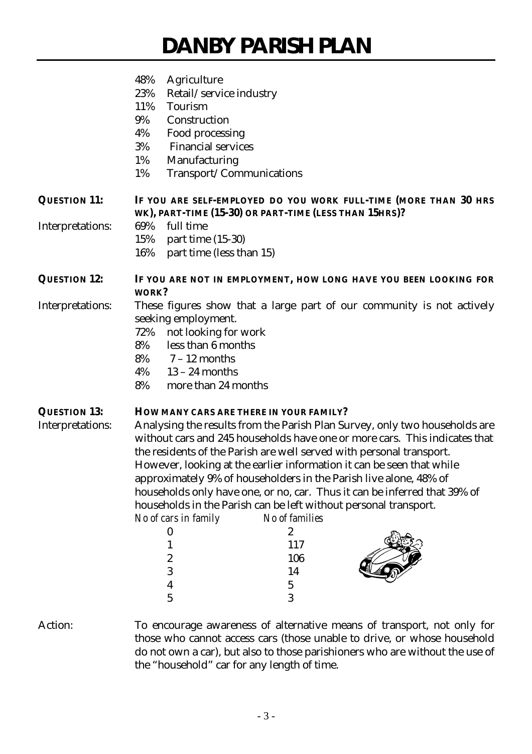|                     | 48%<br>Agriculture                                                                                                                         |                                                                                    |                                                                           |  |  |  |
|---------------------|--------------------------------------------------------------------------------------------------------------------------------------------|------------------------------------------------------------------------------------|---------------------------------------------------------------------------|--|--|--|
|                     | 23%<br>Retail/service industry                                                                                                             |                                                                                    |                                                                           |  |  |  |
|                     | 11%<br><b>Tourism</b>                                                                                                                      |                                                                                    |                                                                           |  |  |  |
|                     | 9%<br>Construction                                                                                                                         |                                                                                    |                                                                           |  |  |  |
|                     | 4%<br>Food processing                                                                                                                      |                                                                                    |                                                                           |  |  |  |
|                     | 3%<br><b>Financial services</b>                                                                                                            |                                                                                    |                                                                           |  |  |  |
|                     | 1%<br>Manufacturing                                                                                                                        |                                                                                    |                                                                           |  |  |  |
|                     | 1%<br>Transport/Communications                                                                                                             |                                                                                    |                                                                           |  |  |  |
| <b>QUESTION 11:</b> |                                                                                                                                            | WK), PART-TIME (15-30) OR PART-TIME (LESS THAN 15HRS)?                             | IF YOU ARE SELF-EMPLOYED DO YOU WORK FULL-TIME (MORE THAN 30 HRS          |  |  |  |
| Interpretations:    | full time<br>69%                                                                                                                           |                                                                                    |                                                                           |  |  |  |
|                     | 15%<br>part time $(15-30)$                                                                                                                 |                                                                                    |                                                                           |  |  |  |
|                     | 16%<br>part time (less than 15)                                                                                                            |                                                                                    |                                                                           |  |  |  |
| <b>QUESTION 12:</b> | WORK?                                                                                                                                      |                                                                                    | IF YOU ARE NOT IN EMPLOYMENT, HOW LONG HAVE YOU BEEN LOOKING FOR          |  |  |  |
| Interpretations:    | These figures show that a large part of our community is not actively                                                                      |                                                                                    |                                                                           |  |  |  |
|                     | seeking employment.                                                                                                                        |                                                                                    |                                                                           |  |  |  |
|                     | 72%<br>not looking for work                                                                                                                |                                                                                    |                                                                           |  |  |  |
|                     | less than 6 months<br>8%                                                                                                                   |                                                                                    |                                                                           |  |  |  |
|                     | $8\%$ 7 – 12 months                                                                                                                        |                                                                                    |                                                                           |  |  |  |
|                     | $4\%$ 13 – 24 months                                                                                                                       |                                                                                    |                                                                           |  |  |  |
|                     | 8%<br>more than 24 months                                                                                                                  |                                                                                    |                                                                           |  |  |  |
| <b>QUESTION 13:</b> |                                                                                                                                            | HOW MANY CARS ARE THERE IN YOUR FAMILY?                                            |                                                                           |  |  |  |
| Interpretations:    | Analysing the results from the Parish Plan Survey, only two households are                                                                 |                                                                                    |                                                                           |  |  |  |
|                     | without cars and 245 households have one or more cars. This indicates that                                                                 |                                                                                    |                                                                           |  |  |  |
|                     | the residents of the Parish are well served with personal transport.                                                                       |                                                                                    |                                                                           |  |  |  |
|                     | However, looking at the earlier information it can be seen that while<br>approximately 9% of householders in the Parish live alone, 48% of |                                                                                    |                                                                           |  |  |  |
|                     |                                                                                                                                            |                                                                                    |                                                                           |  |  |  |
|                     |                                                                                                                                            |                                                                                    | households only have one, or no, car. Thus it can be inferred that 39% of |  |  |  |
|                     | No of cars in family                                                                                                                       | households in the Parish can be left without personal transport.<br>No of families |                                                                           |  |  |  |
|                     | 0                                                                                                                                          | 2                                                                                  |                                                                           |  |  |  |
|                     |                                                                                                                                            | 117                                                                                |                                                                           |  |  |  |
|                     | 2                                                                                                                                          | 106                                                                                |                                                                           |  |  |  |
|                     | 3                                                                                                                                          | 14                                                                                 |                                                                           |  |  |  |
|                     | 4                                                                                                                                          | 5                                                                                  |                                                                           |  |  |  |
|                     | $\mathbf 5$                                                                                                                                | 3                                                                                  |                                                                           |  |  |  |
| Action:             |                                                                                                                                            |                                                                                    | To encourage awareness of alternative means of transport, not only for    |  |  |  |

those who cannot access cars (those unable to drive, or whose household do not own a car), but also to those parishioners who are without the use of the "household" car for any length of time.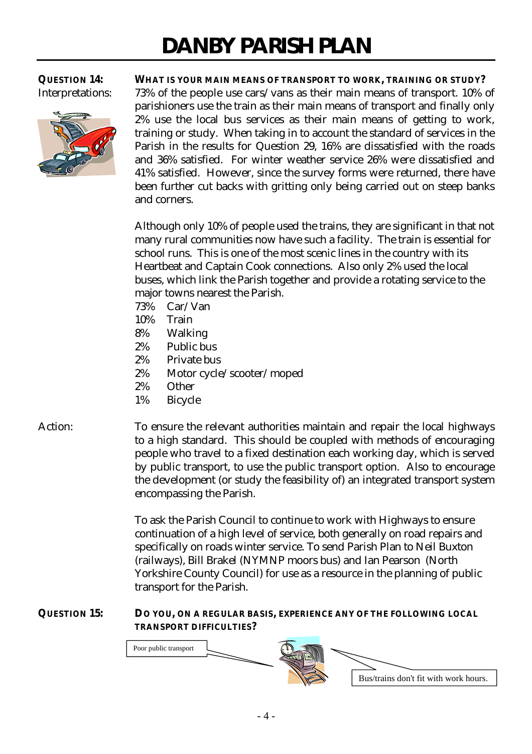

**QUESTION 14: WHAT IS YOUR MAIN MEANS OF TRANSPORT TO WORK, TRAINING OR STUDY?** Interpretations: 73% of the people use cars/vans as their main means of transport. 10% of parishioners use the train as their main means of transport and finally only 2% use the local bus services as their main means of getting to work, training or study. When taking in to account the standard of services in the Parish in the results for Question 29, 16% are dissatisfied with the roads and 36% satisfied. For winter weather service 26% were dissatisfied and 41% satisfied. However, since the survey forms were returned, there have been further cut backs with gritting only being carried out on steep banks and corners.

> Although only 10% of people used the trains, they are significant in that not many rural communities now have such a facility. The train is essential for school runs. This is one of the most scenic lines in the country with its Heartbeat and Captain Cook connections. Also only 2% used the local buses, which link the Parish together and provide a rotating service to the major towns nearest the Parish.

- 73% Car/Van
- 10% Train
- 8% Walking
- 2% Public bus
- 2% Private bus
- 2% Motor cycle/scooter/moped
- 2% Other
- 1% Bicycle

Action: To ensure the relevant authorities maintain and repair the local highways to a high standard. This should be coupled with methods of encouraging people who travel to a fixed destination each working day, which is served by public transport, to use the public transport option. Also to encourage the development (or study the feasibility of) an integrated transport system encompassing the Parish.

> To ask the Parish Council to continue to work with Highways to ensure continuation of a high level of service, both generally on road repairs and specifically on roads winter service. To send Parish Plan to Neil Buxton (railways), Bill Brakel (NYMNP moors bus) and Ian Pearson (North Yorkshire County Council) for use as a resource in the planning of public transport for the Parish.

## **QUESTION 15: DO YOU, ON A REGULAR BASIS, EXPERIENCE ANY OF THE FOLLOWING LOCAL TRANSPORT DIFFICULTIES?**

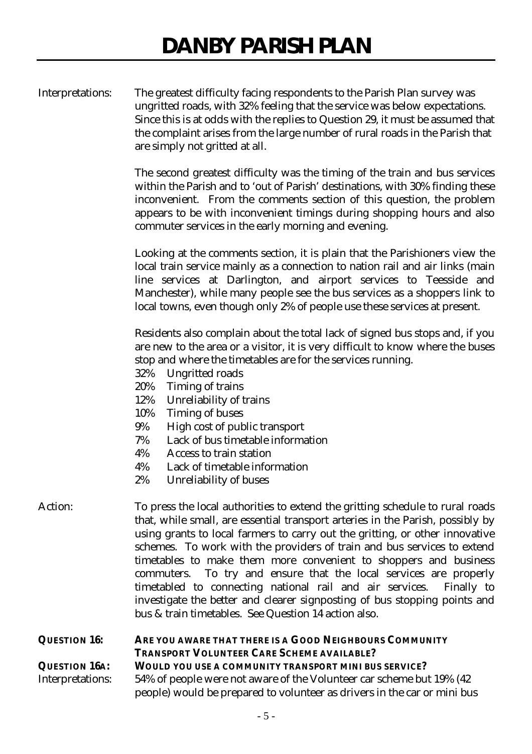| Interpretations: | The greatest difficulty facing respondents to the Parish Plan survey was       |
|------------------|--------------------------------------------------------------------------------|
|                  | ungritted roads, with 32% feeling that the service was below expectations.     |
|                  | Since this is at odds with the replies to Question 29, it must be assumed that |
|                  | the complaint arises from the large number of rural roads in the Parish that   |
|                  | are simply not gritted at all.                                                 |

The second greatest difficulty was the timing of the train and bus services within the Parish and to 'out of Parish' destinations, with 30% finding these inconvenient. From the comments section of this question, the problem appears to be with inconvenient timings during shopping hours and also commuter services in the early morning and evening.

Looking at the comments section, it is plain that the Parishioners view the local train service mainly as a connection to nation rail and air links (main line services at Darlington, and airport services to Teesside and Manchester), while many people see the bus services as a shoppers link to local towns, even though only 2% of people use these services at present.

Residents also complain about the total lack of signed bus stops and, if you are new to the area or a visitor, it is very difficult to know where the buses stop and where the timetables are for the services running.

- 32% Ungritted roads
- 20% Timing of trains
- 12% Unreliability of trains
- 10% Timing of buses
- 9% High cost of public transport
- 7% Lack of bus timetable information
- 4% Access to train station
- 4% Lack of timetable information
- 2% Unreliability of buses
- Action: To press the local authorities to extend the gritting schedule to rural roads that, while small, are essential transport arteries in the Parish, possibly by using grants to local farmers to carry out the gritting, or other innovative schemes. To work with the providers of train and bus services to extend timetables to make them more convenient to shoppers and business commuters. To try and ensure that the local services are properly timetabled to connecting national rail and air services. Finally to investigate the better and clearer signposting of bus stopping points and bus & train timetables. See Question 14 action also.

**QUESTION 16: ARE YOU AWARE THAT THERE IS A GOOD NEIGHBOURS COMMUNITY TRANSPORT VOLUNTEER CARE SCHEME AVAILABLE? QUESTION 16A: WOULD YOU USE A COMMUNITY TRANSPORT MINI BUS SERVICE?** Interpretations: 54% of people were not aware of the Volunteer car scheme but 19% (42 people) would be prepared to volunteer as drivers in the car or mini bus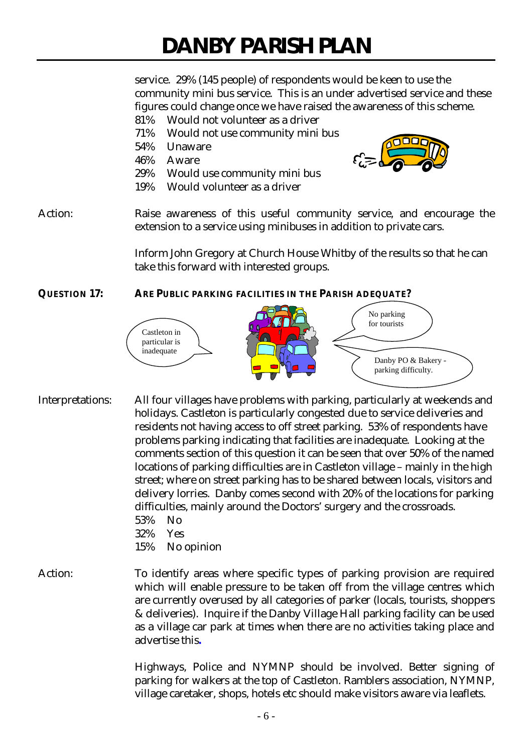service. 29% (145 people) of respondents would be keen to use the community mini bus service. This is an under advertised service and these figures could change once we have raised the awareness of this scheme.

- 81% Would not volunteer as a driver
- 71% Would not use community mini bus
- 54% Unaware
- 46% Aware
- 29% Would use community mini bus
- 19% Would volunteer as a driver

Action: Raise awareness of this useful community service, and encourage the extension to a service using minibuses in addition to private cars.

> Inform John Gregory at Church House Whitby of the results so that he can take this forward with interested groups.

## **QUESTION 17: ARE PUBLIC PARKING FACILITIES IN THE PARISH ADEQUATE?**



- Interpretations: All four villages have problems with parking, particularly at weekends and holidays. Castleton is particularly congested due to service deliveries and residents not having access to off street parking. 53% of respondents have problems parking indicating that facilities are inadequate. Looking at the comments section of this question it can be seen that over 50% of the named locations of parking difficulties are in Castleton village – mainly in the high street; where on street parking has to be shared between locals, visitors and delivery lorries. Danby comes second with 20% of the locations for parking difficulties, mainly around the Doctors' surgery and the crossroads. 53% No
	- 32% Yes
	- 15% No opinion
- Action: To identify areas where specific types of parking provision are required which will enable pressure to be taken off from the village centres which are currently overused by all categories of parker (locals, tourists, shoppers & deliveries). Inquire if the Danby Village Hall parking facility can be used as a village car park at times when there are no activities taking place and advertise this**.**

Highways, Police and NYMNP should be involved. Better signing of parking for walkers at the top of Castleton. Ramblers association, NYMNP, village caretaker, shops, hotels etc should make visitors aware via leaflets.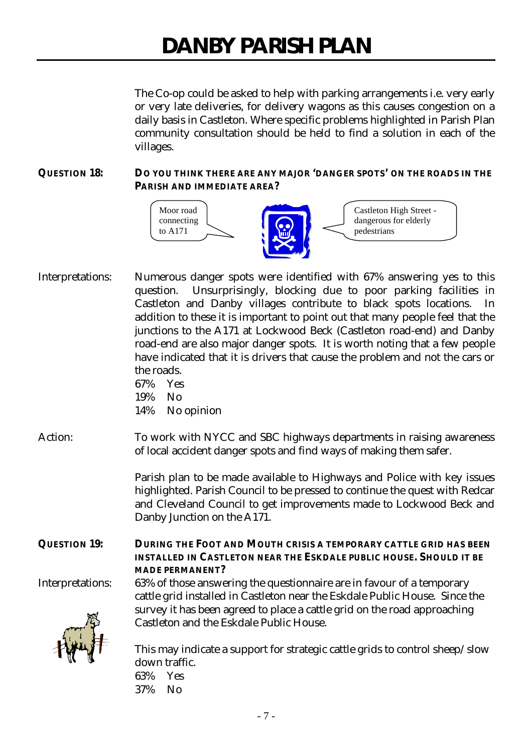The Co-op could be asked to help with parking arrangements i.e. very early or very late deliveries, for delivery wagons as this causes congestion on a daily basis in Castleton. Where specific problems highlighted in Parish Plan community consultation should be held to find a solution in each of the villages.

## **QUESTION 18: DO YOU THINK THERE ARE ANY MAJOR 'DANGER SPOTS' ON THE ROADS IN THE PARISH AND IMMEDIATE AREA?**



Interpretations: Numerous danger spots were identified with 67% answering yes to this question. Unsurprisingly, blocking due to poor parking facilities in Castleton and Danby villages contribute to black spots locations. In addition to these it is important to point out that many people feel that the junctions to the A171 at Lockwood Beck (Castleton road-end) and Danby road-end are also major danger spots. It is worth noting that a few people have indicated that it is drivers that cause the problem and not the cars or the roads.

67% Yes 19% No 14% No opinion

Action: To work with NYCC and SBC highways departments in raising awareness of local accident danger spots and find ways of making them safer.

> Parish plan to be made available to Highways and Police with key issues highlighted. Parish Council to be pressed to continue the quest with Redcar and Cleveland Council to get improvements made to Lockwood Beck and Danby Junction on the A171.

## **QUESTION 19: DURING THE FOOT AND MOUTH CRISIS A TEMPORARY CATTLE GRID HAS BEEN INSTALLED IN CASTLETON NEAR THE ESKDALE PUBLIC HOUSE. SHOULD IT BE MADE PERMANENT?**



Interpretations: 63% of those answering the questionnaire are in favour of a temporary cattle grid installed in Castleton near the Eskdale Public House. Since the survey it has been agreed to place a cattle grid on the road approaching Castleton and the Eskdale Public House.

> This may indicate a support for strategic cattle grids to control sheep/slow down traffic.

63% Yes 37% No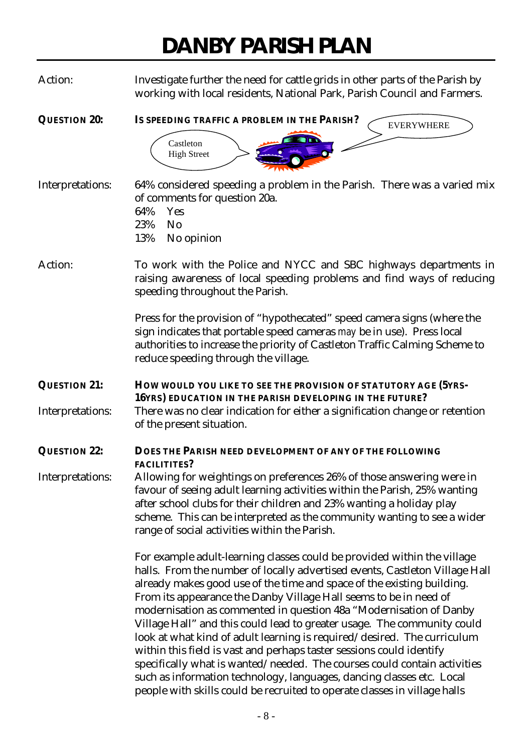Action: Investigate further the need for cattle grids in other parts of the Parish by working with local residents, National Park, Parish Council and Farmers.

**QUESTION 20: IS SPEEDING TRAFFIC A PROBLEM IN THE PARISH?** Castleton High Street EVERYWHERE

Interpretations: 64% considered speeding a problem in the Parish. There was a varied mix of comments for question 20a. 64% Yes 23% No

13% No opinion

Action: To work with the Police and NYCC and SBC highways departments in raising awareness of local speeding problems and find ways of reducing speeding throughout the Parish.

> Press for the provision of "hypothecated" speed camera signs (where the sign indicates that portable speed cameras *may* be in use). Press local authorities to increase the priority of Castleton Traffic Calming Scheme to reduce speeding through the village.

**QUESTION 21: HOW WOULD YOU LIKE TO SEE THE PROVISION OF STATUTORY AGE (5YRS-16YRS) EDUCATION IN THE PARISH DEVELOPING IN THE FUTURE?** Interpretations: There was no clear indication for either a signification change or retention of the present situation.

# **QUESTION 22: DOES THE PARISH NEED DEVELOPMENT OF ANY OF THE FOLLOWING FACILITITES?**

Interpretations: Allowing for weightings on preferences 26% of those answering were in favour of seeing adult learning activities within the Parish, 25% wanting after school clubs for their children and 23% wanting a holiday play scheme. This can be interpreted as the community wanting to see a wider range of social activities within the Parish.

> For example adult-learning classes could be provided within the village halls. From the number of locally advertised events, Castleton Village Hall already makes good use of the time and space of the existing building. From its appearance the Danby Village Hall seems to be in need of modernisation as commented in question 48a "Modernisation of Danby Village Hall" and this could lead to greater usage. The community could look at what kind of adult learning is required/desired. The curriculum within this field is vast and perhaps taster sessions could identify specifically what is wanted/needed. The courses could contain activities such as information technology, languages, dancing classes etc. Local people with skills could be recruited to operate classes in village halls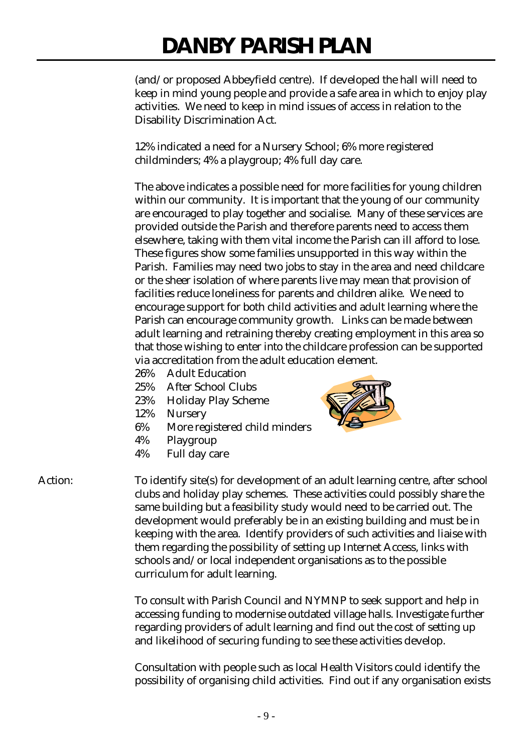(and/or proposed Abbeyfield centre). If developed the hall will need to keep in mind young people and provide a safe area in which to enjoy play activities. We need to keep in mind issues of access in relation to the Disability Discrimination Act.

12% indicated a need for a Nursery School; 6% more registered childminders; 4% a playgroup; 4% full day care.

The above indicates a possible need for more facilities for young children within our community. It is important that the young of our community are encouraged to play together and socialise. Many of these services are provided outside the Parish and therefore parents need to access them elsewhere, taking with them vital income the Parish can ill afford to lose. These figures show some families unsupported in this way within the Parish. Families may need two jobs to stay in the area and need childcare or the sheer isolation of where parents live may mean that provision of facilities reduce loneliness for parents and children alike. We need to encourage support for both child activities and adult learning where the Parish can encourage community growth. Links can be made between adult learning and retraining thereby creating employment in this area so that those wishing to enter into the childcare profession can be supported via accreditation from the adult education element.

- 26% Adult Education
- 25% After School Clubs
- 23% Holiday Play Scheme
- 12% Nursery
- 6% More registered child minders
- 4% Playgroup
- 4% Full day care



Action: To identify site(s) for development of an adult learning centre, after school clubs and holiday play schemes. These activities could possibly share the same building but a feasibility study would need to be carried out. The development would preferably be in an existing building and must be in keeping with the area. Identify providers of such activities and liaise with them regarding the possibility of setting up Internet Access, links with schools and/or local independent organisations as to the possible curriculum for adult learning.

> To consult with Parish Council and NYMNP to seek support and help in accessing funding to modernise outdated village halls. Investigate further regarding providers of adult learning and find out the cost of setting up and likelihood of securing funding to see these activities develop.

Consultation with people such as local Health Visitors could identify the possibility of organising child activities. Find out if any organisation exists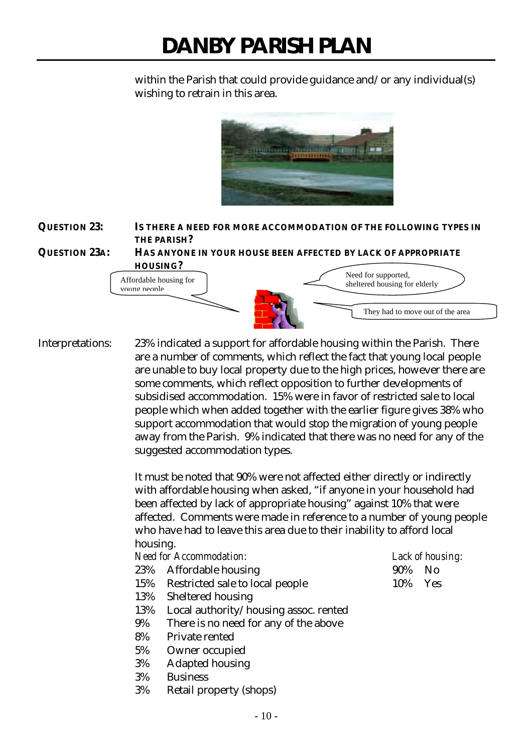within the Parish that could provide guidance and/or any individual(s) wishing to retrain in this area.



# **QUESTION 23: IS THERE A NEED FOR MORE ACCOMMODATION OF THE FOLLOWING TYPES IN THE PARISH?**





Interpretations: 23% indicated a support for affordable housing within the Parish. There are a number of comments, which reflect the fact that young local people are unable to buy local property due to the high prices, however there are some comments, which reflect opposition to further developments of subsidised accommodation. 15% were in favor of restricted sale to local people which when added together with the earlier figure gives 38% who support accommodation that would stop the migration of young people away from the Parish. 9% indicated that there was no need for any of the suggested accommodation types.

> It must be noted that 90% were not affected either directly or indirectly with affordable housing when asked, "if anyone in your household had been affected by lack of appropriate housing" against 10% that were affected. Comments were made in reference to a number of young people who have had to leave this area due to their inability to afford local housing.

## *Need for Accommodation: Lack of housing:*

- 23% Affordable housing 90% No
- 15% Restricted sale to local people 10% Yes
- 13% Sheltered housing
- 13% Local authority/housing assoc. rented
- 9% There is no need for any of the above
- 8% Private rented
- 5% Owner occupied
- 3% Adapted housing
- 3% Business
- 3% Retail property (shops)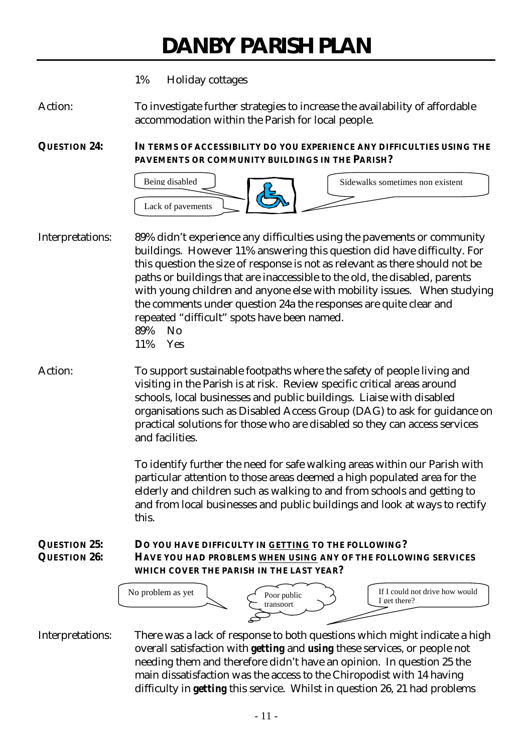## 1% Holiday cottages

Action: To investigate further strategies to increase the availability of affordable accommodation within the Parish for local people.

**QUESTION 24: IN TERMS OF ACCESSIBILITY DO YOU EXPERIENCE ANY DIFFICULTIES USING THE PAVEMENTS OR COMMUNITY BUILDINGS IN THE PARISH?**



Interpretations: 89% didn't experience any difficulties using the pavements or community buildings. However 11% answering this question did have difficulty. For this question the size of response is not as relevant as there should not be paths or buildings that are inaccessible to the old, the disabled, parents with young children and anyone else with mobility issues. When studying the comments under question 24a the responses are quite clear and repeated "difficult" spots have been named. 89% No 11% Yes

Action: To support sustainable footpaths where the safety of people living and visiting in the Parish is at risk. Review specific critical areas around schools, local businesses and public buildings. Liaise with disabled organisations such as Disabled Access Group (DAG) to ask for guidance on practical solutions for those who are disabled so they can access services and facilities.

> To identify further the need for safe walking areas within our Parish with particular attention to those areas deemed a high populated area for the elderly and children such as walking to and from schools and getting to and from local businesses and public buildings and look at ways to rectify this.

## **QUESTION 25: DO YOU HAVE DIFFICULTY IN GETTING TO THE FOLLOWING? QUESTION 26: HAVE YOU HAD PROBLEMS WHEN USING ANY OF THE FOLLOWING SERVICES WHICH COVER THE PARISH IN THE LAST YEAR?**



Interpretations: There was a lack of response to both questions which might indicate a high overall satisfaction with *getting* and *using* these services, or people not needing them and therefore didn't have an opinion. In question 25 the main dissatisfaction was the access to the Chiropodist with 14 having difficulty in *getting* this service. Whilst in question 26, 21 had problems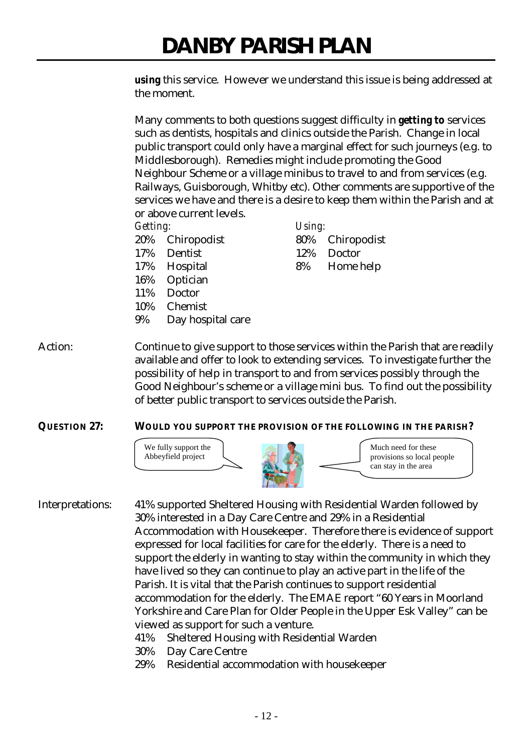*using* this service. However we understand this issue is being addressed at the moment.

Many comments to both questions suggest difficulty in *getting to* services such as dentists, hospitals and clinics outside the Parish. Change in local public transport could only have a marginal effect for such journeys (e.g. to Middlesborough). Remedies might include promoting the Good Neighbour Scheme or a village minibus to travel to and from services (e.g. Railways, Guisborough, Whitby etc). Other comments are supportive of the services we have and there is a desire to keep them within the Parish and at or above current levels.

## *Getting: Using:*

- 
- 17% Dentist 12% Doctor
- 
- 16% Optician
- 11% Doctor
- 10% Chemist
- 9% Day hospital care

# 20% Chiropodist 80% Chiropodist 17% Hospital 8% Home help

Action: Continue to give support to those services within the Parish that are readily available and offer to look to extending services. To investigate further the possibility of help in transport to and from services possibly through the Good Neighbour's scheme or a village mini bus. To find out the possibility of better public transport to services outside the Parish.

# **QUESTION 27: WOULD YOU SUPPORT THE PROVISION OF THE FOLLOWING IN THE PARISH?**



- Interpretations: 41% supported Sheltered Housing with Residential Warden followed by 30% interested in a Day Care Centre and 29% in a Residential Accommodation with Housekeeper. Therefore there is evidence of support expressed for local facilities for care for the elderly. There is a need to support the elderly in wanting to stay within the community in which they have lived so they can continue to play an active part in the life of the Parish. It is vital that the Parish continues to support residential accommodation for the elderly. The EMAE report "60 Years in Moorland Yorkshire and Care Plan for Older People in the Upper Esk Valley" can be viewed as support for such a venture.
	- 41% Sheltered Housing with Residential Warden
	- 30% Day Care Centre
	- 29% Residential accommodation with housekeeper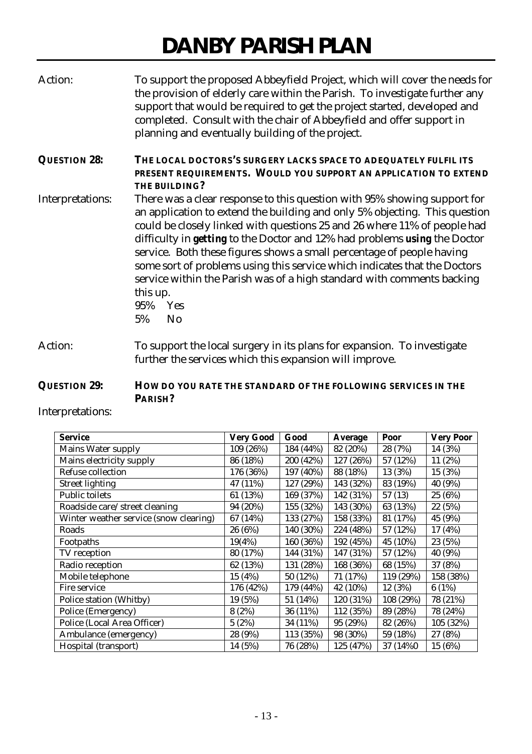| Action:             | To support the proposed Abbeyfield Project, which will cover the needs for<br>the provision of elderly care within the Parish. To investigate further any<br>support that would be required to get the project started, developed and<br>completed. Consult with the chair of Abbeyfield and offer support in<br>planning and eventually building of the project.                                                                                                                                                                                                                                               |
|---------------------|-----------------------------------------------------------------------------------------------------------------------------------------------------------------------------------------------------------------------------------------------------------------------------------------------------------------------------------------------------------------------------------------------------------------------------------------------------------------------------------------------------------------------------------------------------------------------------------------------------------------|
| <b>QUESTION 28:</b> | THE LOCAL DOCTORS'S SURGERY LACKS SPACE TO ADEQUATELY FULFIL ITS<br>PRESENT REQUIREMENTS. WOULD YOU SUPPORT AN APPLICATION TO EXTEND<br>THE BUILDING?                                                                                                                                                                                                                                                                                                                                                                                                                                                           |
| Interpretations:    | There was a clear response to this question with 95% showing support for<br>an application to extend the building and only 5% objecting. This question<br>could be closely linked with questions 25 and 26 where 11% of people had<br>difficulty in <i>getting</i> to the Doctor and 12% had problems <i>using</i> the Doctor<br>service. Both these figures shows a small percentage of people having<br>some sort of problems using this service which indicates that the Doctors<br>service within the Parish was of a high standard with comments backing<br>this up.<br>95% Yes<br>N <sub>0</sub><br>$5\%$ |
| Action:             | To support the local surgery in its plans for expansion. To investigate<br>further the services which this expansion will improve.                                                                                                                                                                                                                                                                                                                                                                                                                                                                              |

# **QUESTION 29: HOW DO YOU RATE THE STANDARD OF THE FOLLOWING SERVICES IN THE PARISH?**

Interpretations:

| <b>Service</b>                         | <b>Very Good</b> | Good      | Average   | Poor      | <b>Very Poor</b> |
|----------------------------------------|------------------|-----------|-----------|-----------|------------------|
| Mains Water supply                     | 109 (26%)        | 184 (44%) | 82 (20%)  | 28 (7%)   | 14 (3%)          |
| Mains electricity supply               | 86 (18%)         | 200 (42%) | 127 (26%) | 57 (12%)  | 11 (2%)          |
| Refuse collection                      | 176 (36%)        | 197 (40%) | 88 (18%)  | 13 (3%)   | 15 (3%)          |
| <b>Street lighting</b>                 | 47 (11%)         | 127 (29%) | 143 (32%) | 83 (19%)  | 40 (9%)          |
| <b>Public toilets</b>                  | 61 (13%)         | 169 (37%) | 142 (31%) | 57(13)    | 25 (6%)          |
| Roadside care/street cleaning          | 94 (20%)         | 155 (32%) | 143 (30%) | 63 (13%)  | 22 (5%)          |
| Winter weather service (snow clearing) | 67 (14%)         | 133 (27%) | 158 (33%) | 81 (17%)  | 45 (9%)          |
| Roads                                  | 26 (6%)          | 140 (30%) | 224 (48%) | 57 (12%)  | 17 (4%)          |
| Footpaths                              | 19(4%)           | 160 (36%) | 192 (45%) | 45 (10%)  | 23 (5%)          |
| TV reception                           | 80 (17%)         | 144 (31%) | 147 (31%) | 57 (12%)  | 40 (9%)          |
| Radio reception                        | 62 (13%)         | 131 (28%) | 168 (36%) | 68 (15%)  | 37 (8%)          |
| Mobile telephone                       | 15 (4%)          | 50 (12%)  | 71 (17%)  | 119 (29%) | 158 (38%)        |
| Fire service                           | 176 (42%)        | 179 (44%) | 42 (10%)  | 12 (3%)   | 6(1%)            |
| Police station (Whitby)                | 19 (5%)          | 51 (14%)  | 120 (31%) | 108 (29%) | 78 (21%)         |
| Police (Emergency)                     | 8(2%)            | 36 (11%)  | 112 (35%) | 89 (28%)  | 78 (24%)         |
| Police (Local Area Officer)            | 5(2%)            | 34 (11%)  | 95 (29%)  | 82 (26%)  | 105 (32%)        |
| Ambulance (emergency)                  | 28 (9%)          | 113 (35%) | 98 (30%)  | 59 (18%)  | 27 (8%)          |
| Hospital (transport)                   | 14 (5%)          | 76 (28%)  | 125 (47%) | 37 (14%0) | 15 (6%)          |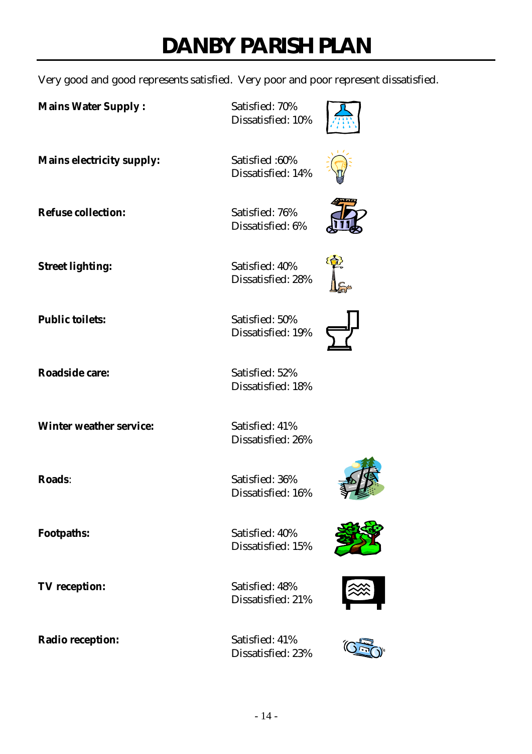Very good and good represents satisfied. Very poor and poor represent dissatisfied.

**Mains Water Supply : Satisfied: 70%** 

Dissatisfied: 10%

**Mains electricity supply:** Satisfied :60% Dissatisfied: 14%

**Refuse collection:** Satisfied: 76% Dissatisfied: 6%



**Street lighting:** Satisfied: 40% Dissatisfied: 28%

**Public toilets:** Satisfied: 50% Dissatisfied: 19%



**Roadside care:** Satisfied: 52% Dissatisfied: 18%

Dissatisfied: 26%

**Roads**: Satisfied: 36% Dissatisfied: 16%

**Footpaths:** Satisfied: 40% Dissatisfied: 15%

**TV reception:** Satisfied: 48% Dissatisfied: 21%

Dissatisfied: 23%









**Winter weather service:** Satisfied: 41%

**Radio reception:** Satisfied: 41%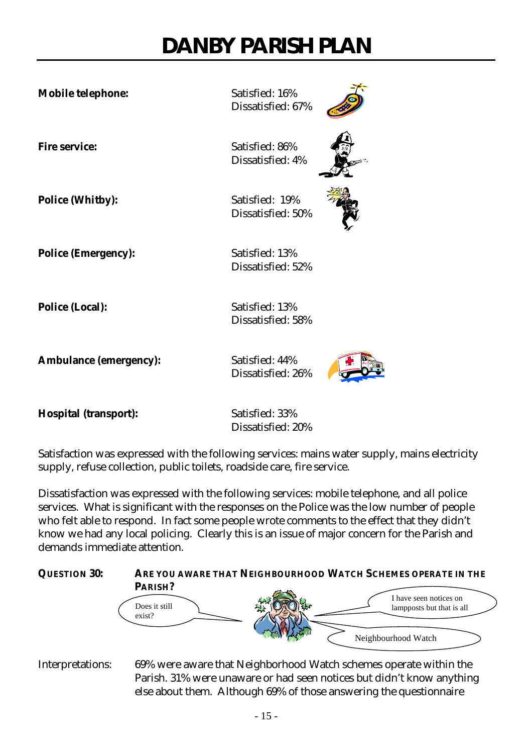**Mobile telephone:** Satisfied: 16%

**Police (Whitby):** Satisfied: 19%

Dissatisfied: 67%

**Fire service:** Satisfied: 86% Dissatisfied: 4%

Dissatisfied: 50%

**Police (Emergency):** Satisfied: 13%

Dissatisfied: 52%

**Police (Local):** Satisfied: 13% Dissatisfied: 58%

Ambulance (emergency): Satisfied: 44%

Dissatisfied: 26%



**Hospital (transport):** Satisfied: 33%

Dissatisfied: 20%

Satisfaction was expressed with the following services: mains water supply, mains electricity supply, refuse collection, public toilets, roadside care, fire service.

Dissatisfaction was expressed with the following services: mobile telephone, and all police services. What is significant with the responses on the Police was the low number of people who felt able to respond. In fact some people wrote comments to the effect that they didn't know we had any local policing. Clearly this is an issue of major concern for the Parish and demands immediate attention.



Interpretations: 69% were aware that Neighborhood Watch schemes operate within the Parish. 31% were unaware or had seen notices but didn't know anything else about them. Although 69% of those answering the questionnaire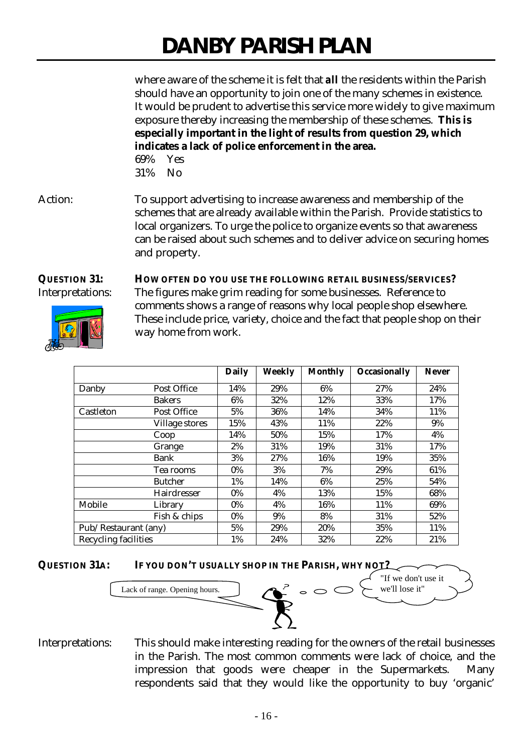where aware of the scheme it is felt that *all* the residents within the Parish should have an opportunity to join one of the many schemes in existence. It would be prudent to advertise this service more widely to give maximum exposure thereby increasing the membership of these schemes. **This is especially important in the light of results from question 29, which indicates a lack of police enforcement in the area.**

69% Yes 31% No

Action: To support advertising to increase awareness and membership of the schemes that are already available within the Parish. Provide statistics to local organizers. To urge the police to organize events so that awareness can be raised about such schemes and to deliver advice on securing homes and property.

**QUESTION 31: HOW OFTEN DO YOU USE THE FOLLOWING RETAIL BUSINESS/SERVICES?** Interpretations: The figures make grim reading for some businesses. Reference to comments shows a range of reasons why local people shop elsewhere. These include price, variety, choice and the fact that people shop on their way home from work.

|                             |                    | <b>Daily</b> | <b>Weekly</b> | <b>Monthly</b> | Occasionally | <b>Never</b> |
|-----------------------------|--------------------|--------------|---------------|----------------|--------------|--------------|
| Danby                       | Post Office        | 14%          | 29%           | 6%             | 27%          | 24%          |
|                             | <b>Bakers</b>      | 6%           | 32%           | 12%            | 33%          | 17%          |
| Castleton                   | Post Office        | 5%           | 36%           | 14%            | 34%          | 11%          |
|                             | Village stores     | 15%          | 43%           | 11%            | 22%          | 9%           |
|                             | Coop               | 14%          | 50%           | 15%            | 17%          | 4%           |
|                             | Grange             | 2%           | 31%           | 19%            | 31%          | 17%          |
|                             | Bank               | 3%           | 27%           | 16%            | 19%          | 35%          |
|                             | Tea rooms          | $0\%$        | 3%            | 7%             | 29%          | 61%          |
|                             | <b>Butcher</b>     | 1%           | 14%           | 6%             | 25%          | 54%          |
|                             | <b>Hairdresser</b> | $0\%$        | 4%            | 13%            | 15%          | 68%          |
| Mobile                      | Library            | $0\%$        | 4%            | 16%            | 11%          | 69%          |
|                             | Fish & chips       | $0\%$        | 9%            | 8%             | 31%          | 52%          |
| Pub/Restaurant (any)        |                    | 5%           | 29%           | 20%            | 35%          | 11%          |
| <b>Recycling facilities</b> |                    | 1%           | 24%           | 32%            | 22%          | 21%          |



Interpretations: This should make interesting reading for the owners of the retail businesses in the Parish. The most common comments were lack of choice, and the impression that goods were cheaper in the Supermarkets. Many respondents said that they would like the opportunity to buy 'organic'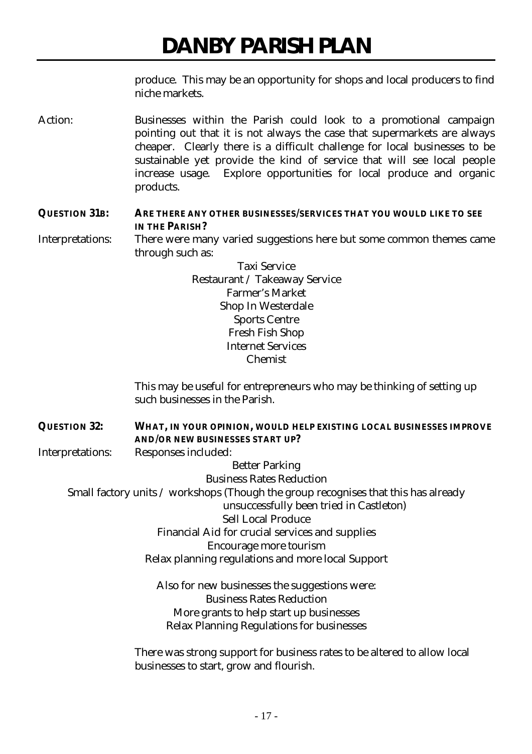produce. This may be an opportunity for shops and local producers to find niche markets.

Action: Businesses within the Parish could look to a promotional campaign pointing out that it is not always the case that supermarkets are always cheaper. Clearly there is a difficult challenge for local businesses to be sustainable yet provide the kind of service that will see local people increase usage. Explore opportunities for local produce and organic products.

# **QUESTION 31B: ARE THERE ANY OTHER BUSINESSES/SERVICES THAT YOU WOULD LIKE TO SEE IN THE PARISH?**

Interpretations: There were many varied suggestions here but some common themes came through such as:

> Taxi Service Restaurant / Takeaway Service Farmer's Market Shop In Westerdale Sports Centre Fresh Fish Shop Internet Services Chemist

This may be useful for entrepreneurs who may be thinking of setting up such businesses in the Parish.

**QUESTION 32: WHAT, IN YOUR OPINION, WOULD HELP EXISTING LOCAL BUSINESSES IMPROVE AND/OR NEW BUSINESSES START UP?** Interpretations: Responses included:

Better Parking Business Rates Reduction

Small factory units / workshops (Though the group recognises that this has already

unsuccessfully been tried in Castleton)

Sell Local Produce

Financial Aid for crucial services and supplies

Encourage more tourism

Relax planning regulations and more local Support

Also for new businesses the suggestions were: Business Rates Reduction More grants to help start up businesses Relax Planning Regulations for businesses

There was strong support for business rates to be altered to allow local businesses to start, grow and flourish.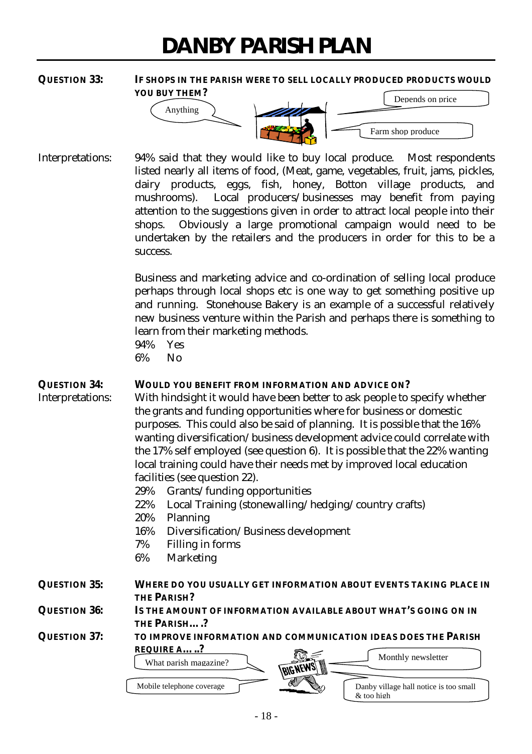### **QUESTION 33: IF SHOPS IN THE PARISH WERE TO SELL LOCALLY PRODUCED PRODUCTS WOULD YOU BUY THEM?**



Interpretations: 94% said that they would like to buy local produce. Most respondents listed nearly all items of food, (Meat, game, vegetables, fruit, jams, pickles, dairy products, eggs, fish, honey, Botton village products, and mushrooms). Local producers/businesses may benefit from paying attention to the suggestions given in order to attract local people into their shops. Obviously a large promotional campaign would need to be undertaken by the retailers and the producers in order for this to be a success.

> Business and marketing advice and co-ordination of selling local produce perhaps through local shops etc is one way to get something positive up and running. Stonehouse Bakery is an example of a successful relatively new business venture within the Parish and perhaps there is something to learn from their marketing methods.

94% Yes 6% No

## **QUESTION 34: WOULD YOU BENEFIT FROM INFORMATION AND ADVICE ON?**

Interpretations: With hindsight it would have been better to ask people to specify whether the grants and funding opportunities where for business or domestic purposes. This could also be said of planning. It is possible that the 16% wanting diversification/business development advice could correlate with the 17% self employed (see question 6). It is possible that the 22% wanting local training could have their needs met by improved local education facilities (see question 22).

- 29% Grants/funding opportunities
- 22% Local Training (stonewalling/hedging/country crafts)
- 20% Planning
- 16% Diversification/Business development
- 7% Filling in forms
- 6% Marketing

# **QUESTION 35: WHERE DO YOU USUALLY GET INFORMATION ABOUT EVENTS TAKING PLACE IN THE PARISH?**

**QUESTION 36: IS THE AMOUNT OF INFORMATION AVAILABLE ABOUT WHAT'S GOING ON IN THE PARISH….?**

**QUESTION 37: TO IMPROVE INFORMATION AND COMMUNICATION IDEAS DOES THE PARISH REQUIRE A…..?**



 $\&$  too high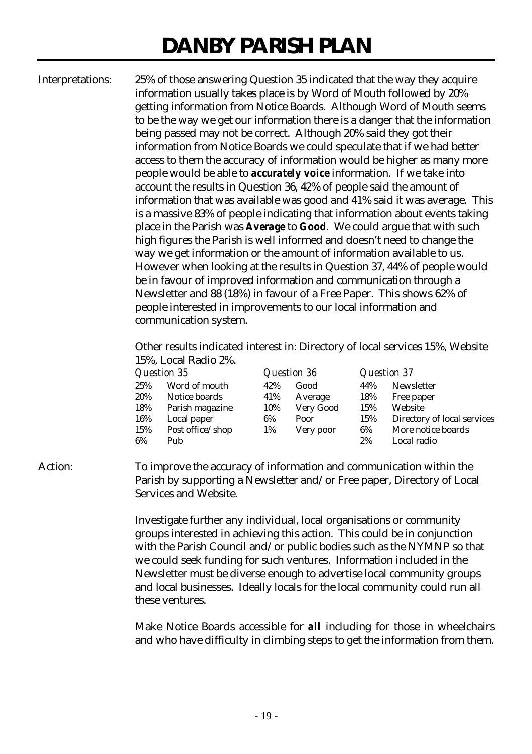Interpretations: 25% of those answering Question 35 indicated that the way they acquire information usually takes place is by Word of Mouth followed by 20% getting information from Notice Boards. Although Word of Mouth seems to be the way we get our information there is a danger that the information being passed may not be correct. Although 20% said they got their information from Notice Boards we could speculate that if we had better access to them the accuracy of information would be higher as many more people would be able to *accurately voice* information. If we take into account the results in Question 36, 42% of people said the amount of information that was available was good and 41% said it was average. This is a massive 83% of people indicating that information about events taking place in the Parish was *Average* to *Good*. We could argue that with such high figures the Parish is well informed and doesn't need to change the way we get information or the amount of information available to us. However when looking at the results in Question 37, 44% of people would be in favour of improved information and communication through a Newsletter and 88 (18%) in favour of a Free Paper. This shows 62% of people interested in improvements to our local information and communication system.

> Other results indicated interest in: Directory of local services 15%, Website 15%, Local Radio 2%.

| Question 35 |                  |     | Question 36 |     | <b>Question 37</b>          |
|-------------|------------------|-----|-------------|-----|-----------------------------|
| 25%         | Word of mouth    | 42% | Good        | 44% | Newsletter                  |
| 20%         | Notice boards    | 41% | Average     | 18% | Free paper                  |
| 18%         | Parish magazine  | 10% | Very Good   | 15% | Website                     |
| 16%         | Local paper      | 6%  | Poor        | 15% | Directory of local services |
| 15%         | Post office/shop | 1%  | Very poor   | 6%  | More notice boards          |
| 6%          | Pub              |     |             | 2%  | Local radio                 |

## Action: To improve the accuracy of information and communication within the Parish by supporting a Newsletter and/or Free paper, Directory of Local Services and Website.

Investigate further any individual, local organisations or community groups interested in achieving this action. This could be in conjunction with the Parish Council and/or public bodies such as the NYMNP so that we could seek funding for such ventures. Information included in the Newsletter must be diverse enough to advertise local community groups and local businesses. Ideally locals for the local community could run all these ventures.

Make Notice Boards accessible for *all* including for those in wheelchairs and who have difficulty in climbing steps to get the information from them.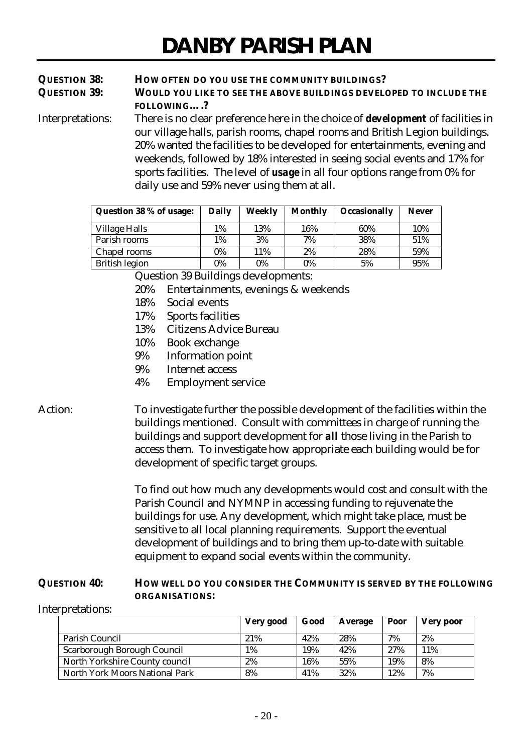# **QUESTION 38: HOW OFTEN DO YOU USE THE COMMUNITY BUILDINGS? QUESTION 39: WOULD YOU LIKE TO SEE THE ABOVE BUILDINGS DEVELOPED TO INCLUDE THE FOLLOWING….?**

Interpretations: There is no clear preference here in the choice of *development* of facilities in our village halls, parish rooms, chapel rooms and British Legion buildings. 20% wanted the facilities to be developed for entertainments, evening and weekends, followed by 18% interested in seeing social events and 17% for sports facilities. The level of *usage* in all four options range from 0% for daily use and 59% never using them at all.

| Question 38 % of usage: | Daily | Weekly | <b>Monthly</b> | <b>Occasionally</b> | <b>Never</b> |
|-------------------------|-------|--------|----------------|---------------------|--------------|
| <b>Village Halls</b>    | 1%    | 13%    | 16%            | 60%                 | 10%          |
| Parish rooms            | 1%    | 3%     | 7%             | 38%                 | 51%          |
| Chapel rooms            | 0%    | 11%    | 2%             | 28%                 | 59%          |
| <b>British legion</b>   | 0%    | 0%     | $0\%$          | 5%                  | 95%          |

Question 39 Buildings developments:

- 20% Entertainments, evenings & weekends
- 18% Social events
- 17% Sports facilities
- 13% Citizens Advice Bureau
- 10% Book exchange
- 9% Information point
- 9% Internet access
- 4% Employment service

# Action: To investigate further the possible development of the facilities within the buildings mentioned. Consult with committees in charge of running the buildings and support development for *all* those living in the Parish to access them. To investigate how appropriate each building would be for development of specific target groups.

To find out how much any developments would cost and consult with the Parish Council and NYMNP in accessing funding to rejuvenate the buildings for use. Any development, which might take place, must be sensitive to all local planning requirements. Support the eventual development of buildings and to bring them up-to-date with suitable equipment to expand social events within the community.

## **QUESTION 40: HOW WELL DO YOU CONSIDER THE COMMUNITY IS SERVED BY THE FOLLOWING ORGANISATIONS:**

Interpretations:

|                                | Very good | Good | Average | Poor | Very poor |
|--------------------------------|-----------|------|---------|------|-----------|
| Parish Council                 | 21%       | 42%  | 28%     | 7%   | 2%        |
| Scarborough Borough Council    | 1%        | 19%  | 42%     | 27%  | 11%       |
| North Yorkshire County council | 2%        | 16%  | 55%     | 19%  | 8%        |
| North York Moors National Park | 8%        | 41%  | 32%     | 12%  | 7%        |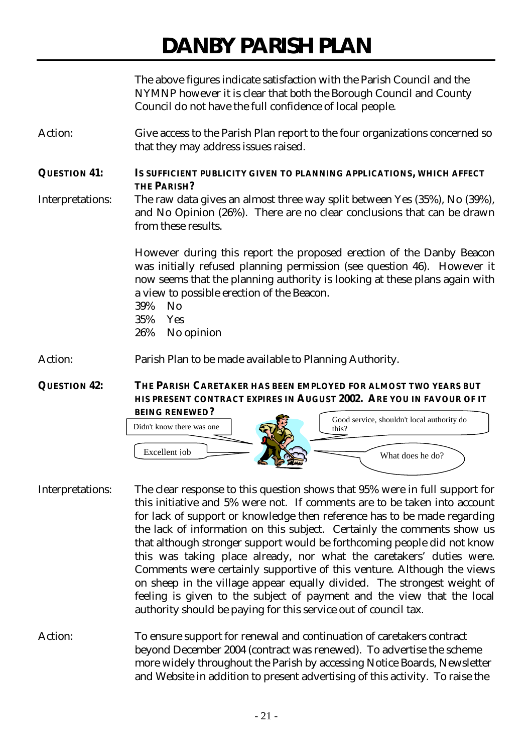The above figures indicate satisfaction with the Parish Council and the NYMNP however it is clear that both the Borough Council and County Council do not have the full confidence of local people.

Action: Give access to the Parish Plan report to the four organizations concerned so that they may address issues raised.

**QUESTION 41: IS SUFFICIENT PUBLICITY GIVEN TO PLANNING APPLICATIONS, WHICH AFFECT THE PARISH?** Interpretations: The raw data gives an almost three way split between Yes (35%), No (39%),

and No Opinion (26%). There are no clear conclusions that can be drawn from these results.

> However during this report the proposed erection of the Danby Beacon was initially refused planning permission (see question 46). However it now seems that the planning authority is looking at these plans again with a view to possible erection of the Beacon.

- 39% No
- 35% Yes
- 26% No opinion

Action: Parish Plan to be made available to Planning Authority.

**QUESTION 42: THE PARISH CARETAKER HAS BEEN EMPLOYED FOR ALMOST TWO YEARS BUT HIS PRESENT CONTRACT EXPIRES IN AUGUST 2002. ARE YOU IN FAVOUR OF IT**



- Interpretations: The clear response to this question shows that 95% were in full support for this initiative and 5% were not. If comments are to be taken into account for lack of support or knowledge then reference has to be made regarding the lack of information on this subject. Certainly the comments show us that although stronger support would be forthcoming people did not know this was taking place already, nor what the caretakers' duties were. Comments were certainly supportive of this venture. Although the views on sheep in the village appear equally divided. The strongest weight of feeling is given to the subject of payment and the view that the local authority should be paying for this service out of council tax.
- Action: To ensure support for renewal and continuation of caretakers contract beyond December 2004 (contract was renewed). To advertise the scheme more widely throughout the Parish by accessing Notice Boards, Newsletter and Website in addition to present advertising of this activity. To raise the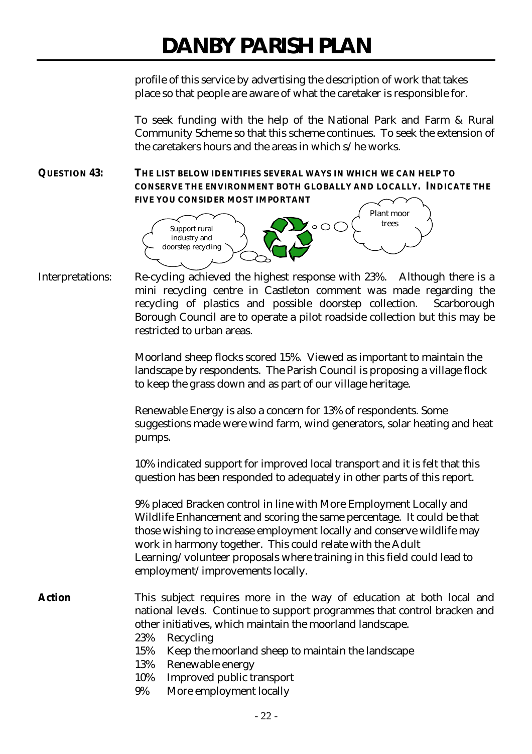profile of this service by advertising the description of work that takes place so that people are aware of what the caretaker is responsible for.

To seek funding with the help of the National Park and Farm & Rural Community Scheme so that this scheme continues. To seek the extension of the caretakers hours and the areas in which s/he works.

**QUESTION 43: THE LIST BELOW IDENTIFIES SEVERAL WAYS IN WHICH WE CAN HELP TO CONSERVE THE ENVIRONMENT BOTH GLOBALLY AND LOCALLY. INDICATE THE FIVE YOU CONSIDER MOST IMPORTANT**



Interpretations: Re-cycling achieved the highest response with 23%. Although there is a mini recycling centre in Castleton comment was made regarding the recycling of plastics and possible doorstep collection. Scarborough Borough Council are to operate a pilot roadside collection but this may be restricted to urban areas.

> Moorland sheep flocks scored 15%. Viewed as important to maintain the landscape by respondents. The Parish Council is proposing a village flock to keep the grass down and as part of our village heritage.

Renewable Energy is also a concern for 13% of respondents. Some suggestions made were wind farm, wind generators, solar heating and heat pumps.

10% indicated support for improved local transport and it is felt that this question has been responded to adequately in other parts of this report.

9% placed Bracken control in line with More Employment Locally and Wildlife Enhancement and scoring the same percentage. It could be that those wishing to increase employment locally and conserve wildlife may work in harmony together. This could relate with the Adult Learning/volunteer proposals where training in this field could lead to employment/improvements locally.

Action This subject requires more in the way of education at both local and national levels. Continue to support programmes that control bracken and other initiatives, which maintain the moorland landscape.

- 23% Recycling
- 15% Keep the moorland sheep to maintain the landscape
- 13% Renewable energy
- 10% Improved public transport
- 9% More employment locally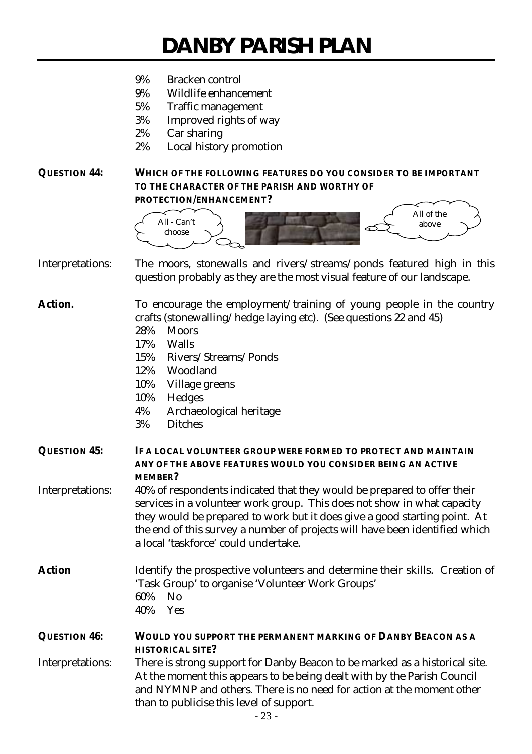- 9% Bracken control
- 9% Wildlife enhancement
- 5% Traffic management
- 3% Improved rights of way
- 2% Car sharing
- 2% Local history promotion

## **QUESTION 44: WHICH OF THE FOLLOWING FEATURES DO YOU CONSIDER TO BE IMPORTANT TO THE CHARACTER OF THE PARISH AND WORTHY OF PROTECTION/ENHANCEMENT?**



Interpretations: The moors, stonewalls and rivers/streams/ponds featured high in this question probably as they are the most visual feature of our landscape.

Action. To encourage the employment/training of young people in the country crafts (stonewalling/hedge laying etc). (See questions 22 and 45)

- 28% Moors
- 17% Walls
- 15% Rivers/Streams/Ponds
- 12% Woodland
- 10% Village greens
- 10% Hedges
- 4% Archaeological heritage
- 3% Ditches

**QUESTION 45: IF A LOCAL VOLUNTEER GROUP WERE FORMED TO PROTECT AND MAINTAIN ANY OF THE ABOVE FEATURES WOULD YOU CONSIDER BEING AN ACTIVE MEMBER?**

Interpretations: 40% of respondents indicated that they would be prepared to offer their services in a volunteer work group. This does not show in what capacity they would be prepared to work but it does give a good starting point. At the end of this survey a number of projects will have been identified which a local 'taskforce' could undertake.

Action Identify the prospective volunteers and determine their skills. Creation of 'Task Group' to organise 'Volunteer Work Groups' 60% No 40% Yes

**QUESTION 46: WOULD YOU SUPPORT THE PERMANENT MARKING OF DANBY BEACON AS A HISTORICAL SITE?**

Interpretations: There is strong support for Danby Beacon to be marked as a historical site. At the moment this appears to be being dealt with by the Parish Council and NYMNP and others. There is no need for action at the moment other than to publicise this level of support.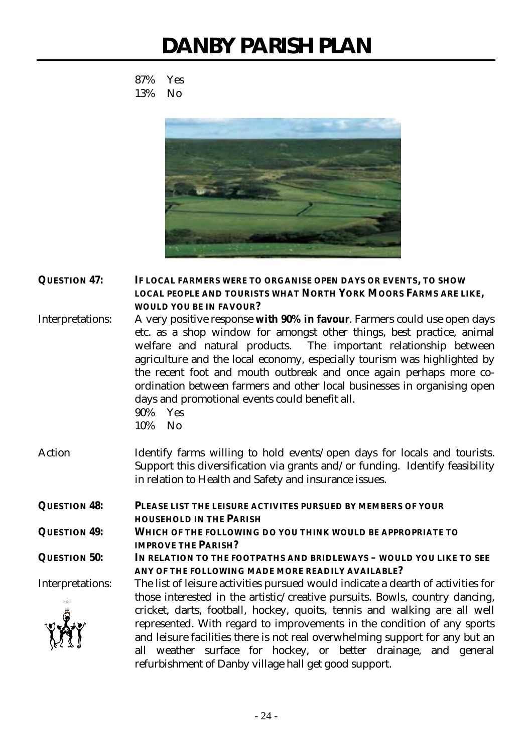87% Yes 13% No



**QUESTION 47: IF LOCAL FARMERS WERE TO ORGANISE OPEN DAYS OR EVENTS, TO SHOW LOCAL PEOPLE AND TOURISTS WHAT NORTH YORK MOORS FARMS ARE LIKE, WOULD YOU BE IN FAVOUR?**

Interpretations: A very positive response **with 90% in favour**. Farmers could use open days etc. as a shop window for amongst other things, best practice, animal welfare and natural products. The important relationship between agriculture and the local economy, especially tourism was highlighted by the recent foot and mouth outbreak and once again perhaps more coordination between farmers and other local businesses in organising open days and promotional events could benefit all. 90% Yes

10% No

Action Identify farms willing to hold events/open days for locals and tourists. Support this diversification via grants and/or funding. Identify feasibility in relation to Health and Safety and insurance issues.

**QUESTION 48: PLEASE LIST THE LEISURE ACTIVITES PURSUED BY MEMBERS OF YOUR HOUSEHOLD IN THE PARISH QUESTION 49: WHICH OF THE FOLLOWING DO YOU THINK WOULD BE APPROPRIATE TO IMPROVE THE PARISH?**

**QUESTION 50: IN RELATION TO THE FOOTPATHS AND BRIDLEWAYS – WOULD YOU LIKE TO SEE ANY OF THE FOLLOWING MADE MORE READILY AVAILABLE?**

Interpretations: The list of leisure activities pursued would indicate a dearth of activities for those interested in the artistic/creative pursuits. Bowls, country dancing, cricket, darts, football, hockey, quoits, tennis and walking are all well represented. With regard to improvements in the condition of any sports and leisure facilities there is not real overwhelming support for any but an all weather surface for hockey, or better drainage, and general refurbishment of Danby village hall get good support.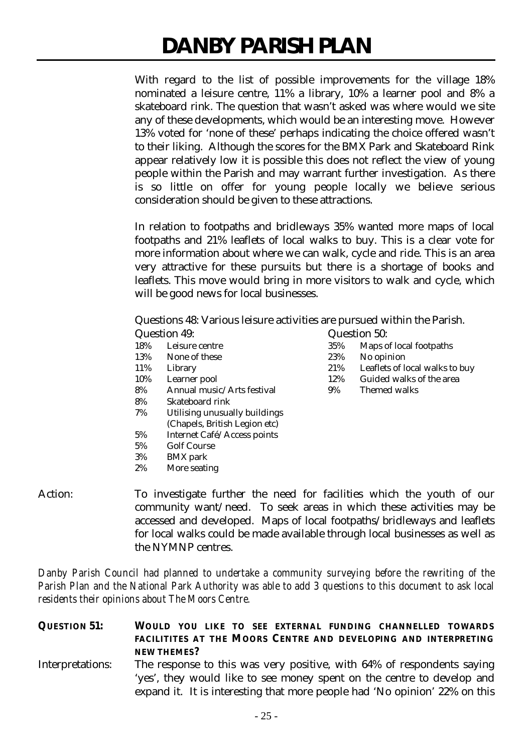With regard to the list of possible improvements for the village 18% nominated a leisure centre, 11% a library, 10% a learner pool and 8% a skateboard rink. The question that wasn't asked was where would we site any of these developments, which would be an interesting move. However 13% voted for 'none of these' perhaps indicating the choice offered wasn't to their liking. Although the scores for the BMX Park and Skateboard Rink appear relatively low it is possible this does not reflect the view of young people within the Parish and may warrant further investigation. As there is so little on offer for young people locally we believe serious consideration should be given to these attractions.

In relation to footpaths and bridleways 35% wanted more maps of local footpaths and 21% leaflets of local walks to buy. This is a clear vote for more information about where we can walk, cycle and ride. This is an area very attractive for these pursuits but there is a shortage of books and leaflets. This move would bring in more visitors to walk and cycle, which will be good news for local businesses.

Questions 48: Various leisure activities are pursued within the Parish.

| Question 49: |                | Question 50: |
|--------------|----------------|--------------|
| 18%          | Leisure centre | 35% Maps o   |

- 13% None of these 23% No opinion
- 
- 
- 8% Annual music/Arts festival 9% Themed walks
- 8% Skateboard rink
- 7% Utilising unusually buildings
- (Chapels, British Legion etc)
- 5% Internet Café/Access points
- 5% Golf Course
- 3% BMX park
- 2% More seating
- Action: To investigate further the need for facilities which the youth of our community want/need. To seek areas in which these activities may be accessed and developed. Maps of local footpaths/bridleways and leaflets for local walks could be made available through local businesses as well as the NYMNP centres.

*Danby Parish Council had planned to undertake a community surveying before the rewriting of the Parish Plan and the National Park Authority was able to add 3 questions to this document to ask local residents their opinions about The Moors Centre.*

**QUESTION 51: WOULD YOU LIKE TO SEE EXTERNAL FUNDING CHANNELLED TOWARDS FACILITITES AT THE MOORS CENTRE AND DEVELOPING AND INTERPRETING NEW THEMES?**

Interpretations: The response to this was very positive, with 64% of respondents saying 'yes', they would like to see money spent on the centre to develop and expand it. It is interesting that more people had 'No opinion' 22% on this

- 10% Learner pool 12% Guided walks of the area
- 
- 18% Leisure centre 35% Maps of local footpaths
	-
- 11% Library 21% Leaflets of local walks to buy
	-
	-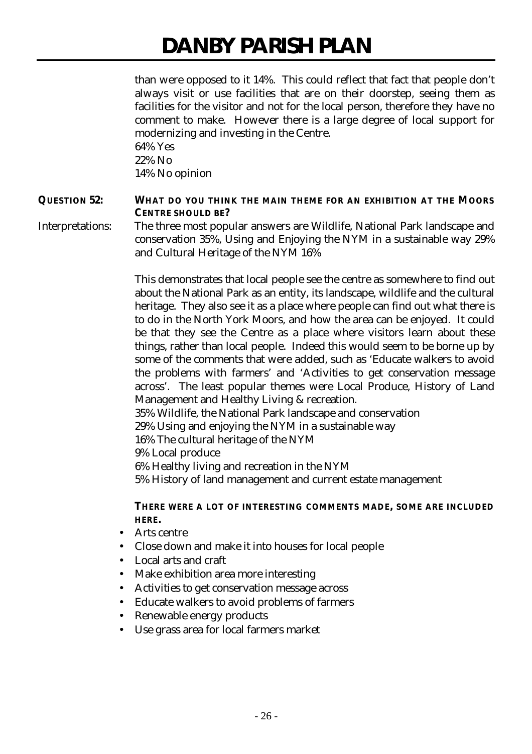than were opposed to it 14%. This could reflect that fact that people don't always visit or use facilities that are on their doorstep, seeing them as facilities for the visitor and not for the local person, therefore they have no comment to make. However there is a large degree of local support for modernizing and investing in the Centre.

64% Yes 22% No 14% No opinion

## **QUESTION 52: WHAT DO YOU THINK THE MAIN THEME FOR AN EXHIBITION AT THE MOORS CENTRE SHOULD BE?**

Interpretations: The three most popular answers are Wildlife, National Park landscape and conservation 35%, Using and Enjoying the NYM in a sustainable way 29% and Cultural Heritage of the NYM 16%

> This demonstrates that local people see the centre as somewhere to find out about the National Park as an entity, its landscape, wildlife and the cultural heritage. They also see it as a place where people can find out what there is to do in the North York Moors, and how the area can be enjoyed. It could be that they see the Centre as a place where visitors learn about these things, rather than local people. Indeed this would seem to be borne up by some of the comments that were added, such as 'Educate walkers to avoid the problems with farmers' and 'Activities to get conservation message across'. The least popular themes were Local Produce, History of Land Management and Healthy Living & recreation.

35% Wildlife, the National Park landscape and conservation

29% Using and enjoying the NYM in a sustainable way

16% The cultural heritage of the NYM

9% Local produce

6% Healthy living and recreation in the NYM

5% History of land management and current estate management

## **THERE WERE A LOT OF INTERESTING COMMENTS MADE, SOME ARE INCLUDED HERE.**

- Arts centre
- Close down and make it into houses for local people
- Local arts and craft
- Make exhibition area more interesting
- Activities to get conservation message across
- Educate walkers to avoid problems of farmers
- Renewable energy products
- Use grass area for local farmers market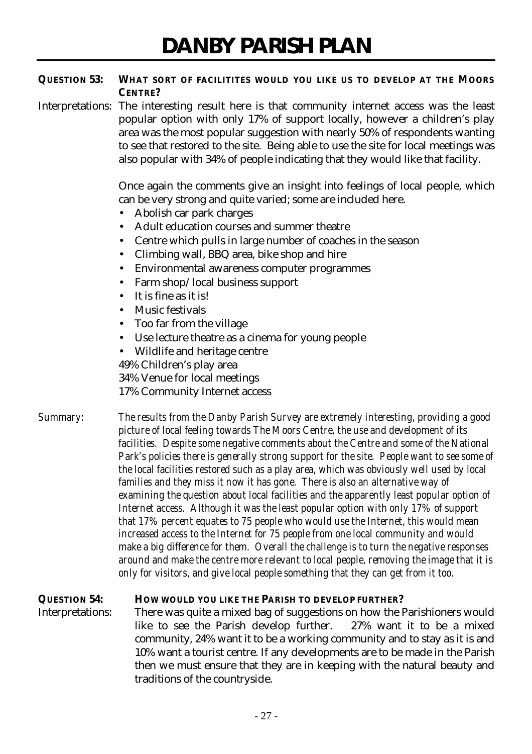## **QUESTION 53: WHAT SORT OF FACILITITES WOULD YOU LIKE US TO DEVELOP AT THE MOORS CENTRE?**

Interpretations: The interesting result here is that community internet access was the least popular option with only 17% of support locally, however a children's play area was the most popular suggestion with nearly 50% of respondents wanting to see that restored to the site. Being able to use the site for local meetings was also popular with 34% of people indicating that they would like that facility.

> Once again the comments give an insight into feelings of local people, which can be very strong and quite varied; some are included here.

- Abolish car park charges
- Adult education courses and summer theatre
- Centre which pulls in large number of coaches in the season
- Climbing wall, BBQ area, bike shop and hire
- Environmental awareness computer programmes
- Farm shop/local business support
- It is fine as it is!
- Music festivals
- Too far from the village
- Use lecture theatre as a cinema for young people
- Wildlife and heritage centre

49% Children's play area

34% Venue for local meetings

17% Community Internet access

*Summary: The results from the Danby Parish Survey are extremely interesting, providing a good picture of local feeling towards The Moors Centre, the use and development of its facilities. Despite some negative comments about the Centre and some of the National Park's policies there is generally strong support for the site. People want to see some of the local facilities restored such as a play area, which was obviously well used by local families and they miss it now it has gone. There is also an alternative way of examining the question about local facilities and the apparently least popular option of Internet access. Although it was the least popular option with only 17% of support that 17% percent equates to 75 people who would use the Internet, this would mean increased access to the Internet for 75 people from one local community and would make a big difference for them. Overall the challenge is to turn the negative responses around and make the centre more relevant to local people, removing the image that it is only for visitors, and give local people something that they can get from it too.*

# **QUESTION 54: HOW WOULD YOU LIKE THE PARISH TO DEVELOP FURTHER?**

Interpretations: There was quite a mixed bag of suggestions on how the Parishioners would like to see the Parish develop further. 27% want it to be a mixed community, 24% want it to be a working community and to stay as it is and 10% want a tourist centre. If any developments are to be made in the Parish then we must ensure that they are in keeping with the natural beauty and traditions of the countryside.